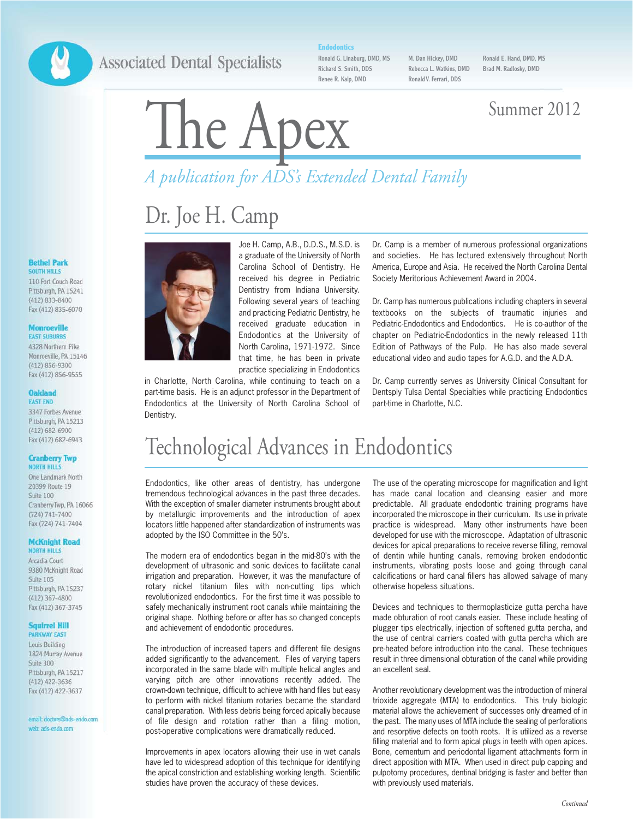### **Associated Dental Specialists**

### **Endodontics**

Ronald G. Linaburg, DMD, MS Richard S. Smith, DDS Renee R. Kalp, DMD

M. Dan Hickey, DMD Rebecca L. Watkins, DMD Ronald V. Ferrari, DDS

Ronald E. Hand, DMD, MS Brad M. Radlosky, DMD

# The Apex Summer 2012

# *A publication for ADS's Extended Dental Family*

# Dr. Joe H. Camp



### **Monroeville**

**EAST SUBURBS** 4328 Northern Pike Monmeville PA 15146 (412) 856-9300 Fax (412) 856-9555

### **Oakland FAST FND**

3347 Forbes Avenue Pittsburgh, PA 15213  $(412)$  682-6900 Fax (412) 682-6943

### **Cranberry Twp NORTH HILLS**

One Landmark North 20399 Route 19 Suite 100 Cranberry Twp, PA 16066  $(724) 741 - 7400$ Fax (724) 741-7404

### **McKnight Road NORTH HILLS**

Arcadia Court 9380 McKnight Road Suite 105 Pittsburgh, PA 15237  $(412)$  367-4800 Fax (412) 367-3745

### **Squirrel Hill PARKWAY EAST**

Louis Building 1824 Murray Avenue Suite 300 Pittsburgh, PA 15217 (412) 422-3636 Fax (412) 422-3637

email: doctors@ads-endo.com web: ads-endo.com



in Charlotte, North Carolina, while continuing to teach on a part-time basis. He is an adjunct professor in the Department of Endodontics at the University of North Carolina School of Dentistry.

Dr. Camp is a member of numerous professional organizations and societies. He has lectured extensively throughout North America, Europe and Asia. He received the North Carolina Dental Society Meritorious Achievement Award in 2004.

Dr. Camp has numerous publications including chapters in several textbooks on the subjects of traumatic injuries and Pediatric-Endodontics and Endodontics. He is co-author of the chapter on Pediatric-Endodontics in the newly released 11th Edition of Pathways of the Pulp. He has also made several educational video and audio tapes for A.G.D. and the A.D.A.

Dr. Camp currently serves as University Clinical Consultant for Dentsply Tulsa Dental Specialties while practicing Endodontics part-time in Charlotte, N.C.

## Technological Advances in Endodontics

Endodontics, like other areas of dentistry, has undergone tremendous technological advances in the past three decades. With the exception of smaller diameter instruments brought about by metallurgic improvements and the introduction of apex locators little happened after standardization of instruments was adopted by the ISO Committee in the 50's.

The modern era of endodontics began in the mid-80's with the development of ultrasonic and sonic devices to facilitate canal irrigation and preparation. However, it was the manufacture of rotary nickel titanium files with non-cutting tips which revolutionized endodontics. For the first time it was possible to safely mechanically instrument root canals while maintaining the original shape. Nothing before or after has so changed concepts and achievement of endodontic procedures.

The introduction of increased tapers and different file designs added significantly to the advancement. Files of varying tapers incorporated in the same blade with multiple helical angles and varying pitch are other innovations recently added. The crown-down technique, difficult to achieve with hand files but easy to perform with nickel titanium rotaries became the standard canal preparation. With less debris being forced apically because of file design and rotation rather than a filing motion, post-operative complications were dramatically reduced.

Improvements in apex locators allowing their use in wet canals have led to widespread adoption of this technique for identifying the apical constriction and establishing working length. Scientific studies have proven the accuracy of these devices.

The use of the operating microscope for magnification and light has made canal location and cleansing easier and more predictable. All graduate endodontic training programs have incorporated the microscope in their curriculum. Its use in private practice is widespread. Many other instruments have been developed for use with the microscope. Adaptation of ultrasonic devices for apical preparations to receive reverse filling, removal of dentin while hunting canals, removing broken endodontic instruments, vibrating posts loose and going through canal calcifications or hard canal fillers has allowed salvage of many otherwise hopeless situations.

Devices and techniques to thermoplasticize gutta percha have made obturation of root canals easier. These include heating of plugger tips electrically, injection of softened gutta percha, and the use of central carriers coated with gutta percha which are pre-heated before introduction into the canal. These techniques result in three dimensional obturation of the canal while providing an excellent seal.

Another revolutionary development was the introduction of mineral trioxide aggregate (MTA) to endodontics. This truly biologic material allows the achievement of successes only dreamed of in the past. The many uses of MTA include the sealing of perforations and resorptive defects on tooth roots. It is utilized as a reverse filling material and to form apical plugs in teeth with open apices. Bone, cementum and periodontal ligament attachments form in direct apposition with MTA. When used in direct pulp capping and pulpotomy procedures, dentinal bridging is faster and better than with previously used materials.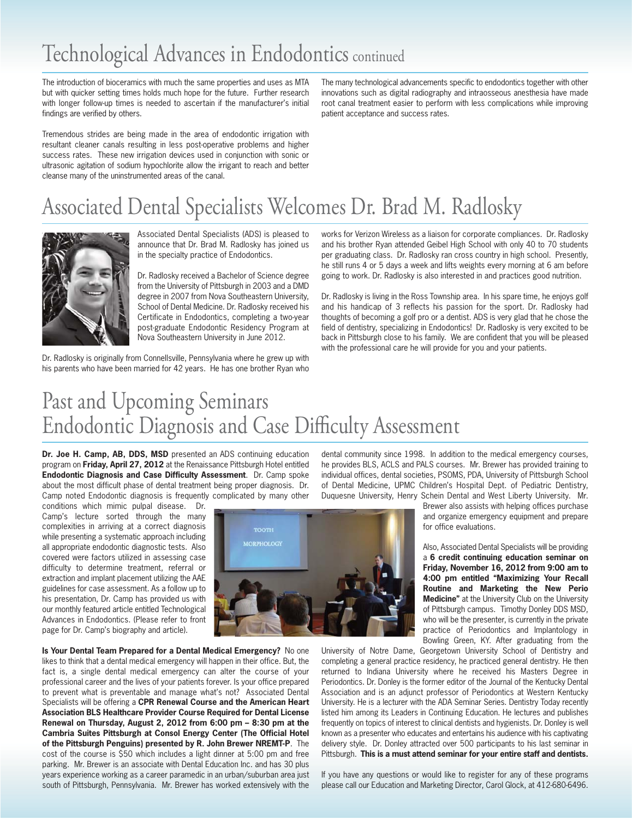# Technological Advances in Endodontics continued

The introduction of bioceramics with much the same properties and uses as MTA but with quicker setting times holds much hope for the future. Further research with longer follow-up times is needed to ascertain if the manufacturer's initial findings are verified by others.

Tremendous strides are being made in the area of endodontic irrigation with resultant cleaner canals resulting in less post-operative problems and higher success rates. These new irrigation devices used in conjunction with sonic or ultrasonic agitation of sodium hypochlorite allow the irrigant to reach and better cleanse many of the uninstrumented areas of the canal.

The many technological advancements specific to endodontics together with other innovations such as digital radiography and intraosseous anesthesia have made root canal treatment easier to perform with less complications while improving patient acceptance and success rates.

# Associated Dental Specialists Welcomes Dr. Brad M. Radlosky



Associated Dental Specialists (ADS) is pleased to announce that Dr. Brad M. Radlosky has joined us in the specialty practice of Endodontics.

Dr. Radlosky received a Bachelor of Science degree from the University of Pittsburgh in 2003 and a DMD degree in 2007 from Nova Southeastern University, School of Dental Medicine. Dr. Radlosky received his Certificate in Endodontics, completing a two-year post-graduate Endodontic Residency Program at Nova Southeastern University in June 2012.

Dr. Radlosky is originally from Connellsville, Pennsylvania where he grew up with his parents who have been married for 42 years. He has one brother Ryan who

works for Verizon Wireless as a liaison for corporate compliances. Dr. Radlosky and his brother Ryan attended Geibel High School with only 40 to 70 students per graduating class. Dr. Radlosky ran cross country in high school. Presently, he still runs 4 or 5 days a week and lifts weights every morning at 6 am before going to work. Dr. Radlosky is also interested in and practices good nutrition.

Dr. Radlosky is living in the Ross Township area. In his spare time, he enjoys golf and his handicap of 3 reflects his passion for the sport. Dr. Radlosky had thoughts of becoming a golf pro or a dentist. ADS is very glad that he chose the field of dentistry, specializing in Endodontics! Dr. Radlosky is very excited to be back in Pittsburgh close to his family. We are confident that you will be pleased with the professional care he will provide for you and your patients.

# Past and Upcoming Seminars Endodontic Diagnosis and Case Difficulty Assessment

**Dr. Joe H. Camp, AB, DDS, MSD** presented an ADS continuing education program on **Friday, April 27, 2012** at the Renaissance Pittsburgh Hotel entitled **Endodontic Diagnosis and Case Difficulty Assessment**. Dr. Camp spoke about the most difficult phase of dental treatment being proper diagnosis. Dr. Camp noted Endodontic diagnosis is frequently complicated by many other

conditions which mimic pulpal disease. Dr. Camp's lecture sorted through the many complexities in arriving at a correct diagnosis while presenting a systematic approach including all appropriate endodontic diagnostic tests. Also covered were factors utilized in assessing case difficulty to determine treatment, referral or extraction and implant placement utilizing the AAE guidelines for case assessment. As a follow up to his presentation, Dr. Camp has provided us with our monthly featured article entitled Technological Advances in Endodontics. (Please refer to front page for Dr. Camp's biography and article).



dental community since 1998. In addition to the medical emergency courses, he provides BLS, ACLS and PALS courses. Mr. Brewer has provided training to individual offices, dental societies, PSOMS, PDA, University of Pittsburgh School of Dental Medicine, UPMC Children's Hospital Dept. of Pediatric Dentistry, Duquesne University, Henry Schein Dental and West Liberty University. Mr.

> Brewer also assists with helping offices purchase and organize emergency equipment and prepare for office evaluations.

> Also, Associated Dental Specialists will be providing a **6 credit continuing education seminar on Friday, November 16, 2012 from 9:00 am to 4:00 pm entitled "Maximizing Your Recall Routine and Marketing the New Perio Medicine"** at the University Club on the University of Pittsburgh campus. Timothy Donley DDS MSD, who will be the presenter, is currently in the private practice of Periodontics and Implantology in Bowling Green, KY. After graduating from the

**Is Your Dental Team Prepared for a Dental Medical Emergency?** No one likes to think that a dental medical emergency will happen in their office. But, the fact is, a single dental medical emergency can alter the course of your professional career and the lives of your patients forever. Is your office prepared to prevent what is preventable and manage what's not? Associated Dental Specialists will be offering a **CPR Renewal Course and the American Heart Association BLS Healthcare Provider Course Required for Dental License Renewal on Thursday, August 2, 2012 from 6:00 pm – 8:30 pm at the Cambria Suites Pittsburgh at Consol Energy Center (The Official Hotel of the Pittsburgh Penguins) presented by R. John Brewer NREMT-P**. The cost of the course is \$50 which includes a light dinner at 5:00 pm and free parking. Mr. Brewer is an associate with Dental Education Inc. and has 30 plus years experience working as a career paramedic in an urban/suburban area just south of Pittsburgh, Pennsylvania. Mr. Brewer has worked extensively with the

University of Notre Dame, Georgetown University School of Dentistry and completing a general practice residency, he practiced general dentistry. He then returned to Indiana University where he received his Masters Degree in Periodontics. Dr. Donley is the former editor of the Journal of the Kentucky Dental Association and is an adjunct professor of Periodontics at Western Kentucky University. He is a lecturer with the ADA Seminar Series. Dentistry Today recently listed him among its Leaders in Continuing Education. He lectures and publishes frequently on topics of interest to clinical dentists and hygienists. Dr. Donley is well known as a presenter who educates and entertains his audience with his captivating delivery style. Dr. Donley attracted over 500 participants to his last seminar in Pittsburgh. **This is a must attend seminar for your entire staff and dentists.** 

If you have any questions or would like to register for any of these programs please call our Education and Marketing Director, Carol Glock, at 412-680-6496.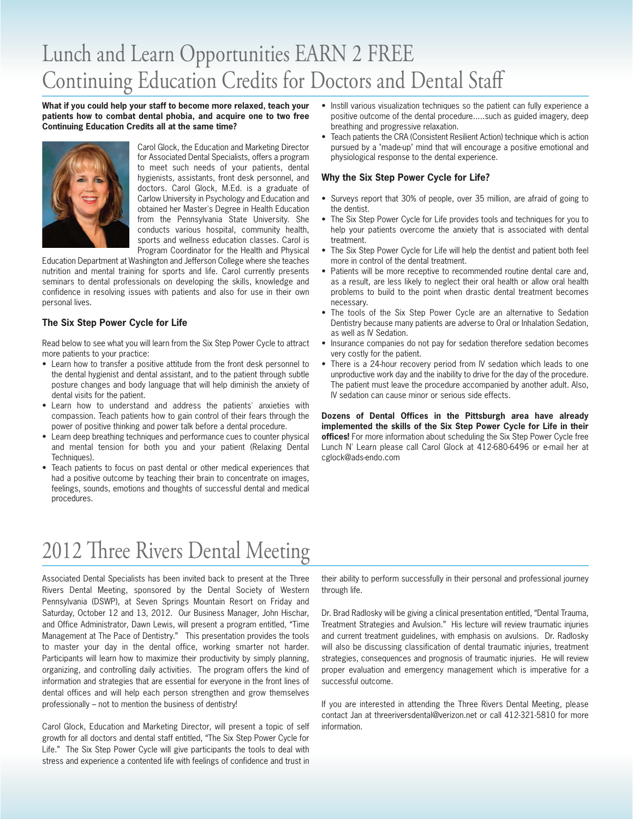# Lunch and Learn Opportunities EARN 2 FREE Continuing Education Credits for Doctors and Dental Staff

**What if you could help your staff to become more relaxed, teach your patients how to combat dental phobia, and acquire one to two free Continuing Education Credits all at the same time?** 



Carol Glock, the Education and Marketing Director for Associated Dental Specialists, offers a program to meet such needs of your patients, dental hygienists, assistants, front desk personnel, and doctors. Carol Glock, M.Ed. is a graduate of Carlow University in Psychology and Education and obtained her Master's Degree in Health Education from the Pennsylvania State University. She conducts various hospital, community health, sports and wellness education classes. Carol is Program Coordinator for the Health and Physical

Education Department at Washington and Jefferson College where she teaches nutrition and mental training for sports and life. Carol currently presents seminars to dental professionals on developing the skills, knowledge and confidence in resolving issues with patients and also for use in their own personal lives.

### **The Six Step Power Cycle for Life**

Read below to see what you will learn from the Six Step Power Cycle to attract more patients to your practice:

- Learn how to transfer a positive attitude from the front desk personnel to the dental hygienist and dental assistant, and to the patient through subtle posture changes and body language that will help diminish the anxiety of dental visits for the patient.
- Learn how to understand and address the patients' anxieties with compassion. Teach patients how to gain control of their fears through the power of positive thinking and power talk before a dental procedure.
- Learn deep breathing techniques and performance cues to counter physical and mental tension for both you and your patient (Relaxing Dental Techniques).
- Teach patients to focus on past dental or other medical experiences that had a positive outcome by teaching their brain to concentrate on images, feelings, sounds, emotions and thoughts of successful dental and medical procedures.
- Instill various visualization techniques so the patient can fully experience a positive outcome of the dental procedure.....such as guided imagery, deep breathing and progressive relaxation.
- Teach patients the CRA (Consistent Resilient Action) technique which is action pursued by a "made-up" mind that will encourage a positive emotional and physiological response to the dental experience.

### **Why the Six Step Power Cycle for Life?**

- Surveys report that 30% of people, over 35 million, are afraid of going to the dentist.
- The Six Step Power Cycle for Life provides tools and techniques for you to help your patients overcome the anxiety that is associated with dental treatment.
- The Six Step Power Cycle for Life will help the dentist and patient both feel more in control of the dental treatment.
- Patients will be more receptive to recommended routine dental care and, as a result, are less likely to neglect their oral health or allow oral health problems to build to the point when drastic dental treatment becomes necessary.
- The tools of the Six Step Power Cycle are an alternative to Sedation Dentistry because many patients are adverse to Oral or Inhalation Sedation, as well as IV Sedation.
- Insurance companies do not pay for sedation therefore sedation becomes very costly for the patient.
- There is a 24-hour recovery period from IV sedation which leads to one unproductive work day and the inability to drive for the day of the procedure. The patient must leave the procedure accompanied by another adult. Also, IV sedation can cause minor or serious side effects.

**Dozens of Dental Offices in the Pittsburgh area have already implemented the skills of the Six Step Power Cycle for Life in their offices!** For more information about scheduling the Six Step Power Cycle free Lunch N' Learn please call Carol Glock at 412-680-6496 or e-mail her at cglock@ads-endo.com

# 2012 Three Rivers Dental Meeting

Associated Dental Specialists has been invited back to present at the Three Rivers Dental Meeting, sponsored by the Dental Society of Western Pennsylvania (DSWP), at Seven Springs Mountain Resort on Friday and Saturday, October 12 and 13, 2012. Our Business Manager, John Hischar, and Office Administrator, Dawn Lewis, will present a program entitled, "Time Management at The Pace of Dentistry." This presentation provides the tools to master your day in the dental office, working smarter not harder. Participants will learn how to maximize their productivity by simply planning, organizing, and controlling daily activities. The program offers the kind of information and strategies that are essential for everyone in the front lines of dental offices and will help each person strengthen and grow themselves professionally – not to mention the business of dentistry!

Carol Glock, Education and Marketing Director, will present a topic of self growth for all doctors and dental staff entitled, "The Six Step Power Cycle for Life." The Six Step Power Cycle will give participants the tools to deal with stress and experience a contented life with feelings of confidence and trust in their ability to perform successfully in their personal and professional journey through life.

Dr. Brad Radlosky will be giving a clinical presentation entitled, "Dental Trauma, Treatment Strategies and Avulsion." His lecture will review traumatic injuries and current treatment guidelines, with emphasis on avulsions. Dr. Radlosky will also be discussing classification of dental traumatic injuries, treatment strategies, consequences and prognosis of traumatic injuries. He will review proper evaluation and emergency management which is imperative for a successful outcome.

If you are interested in attending the Three Rivers Dental Meeting, please contact Jan at threeriversdental@verizon.net or call 412-321-5810 for more information.